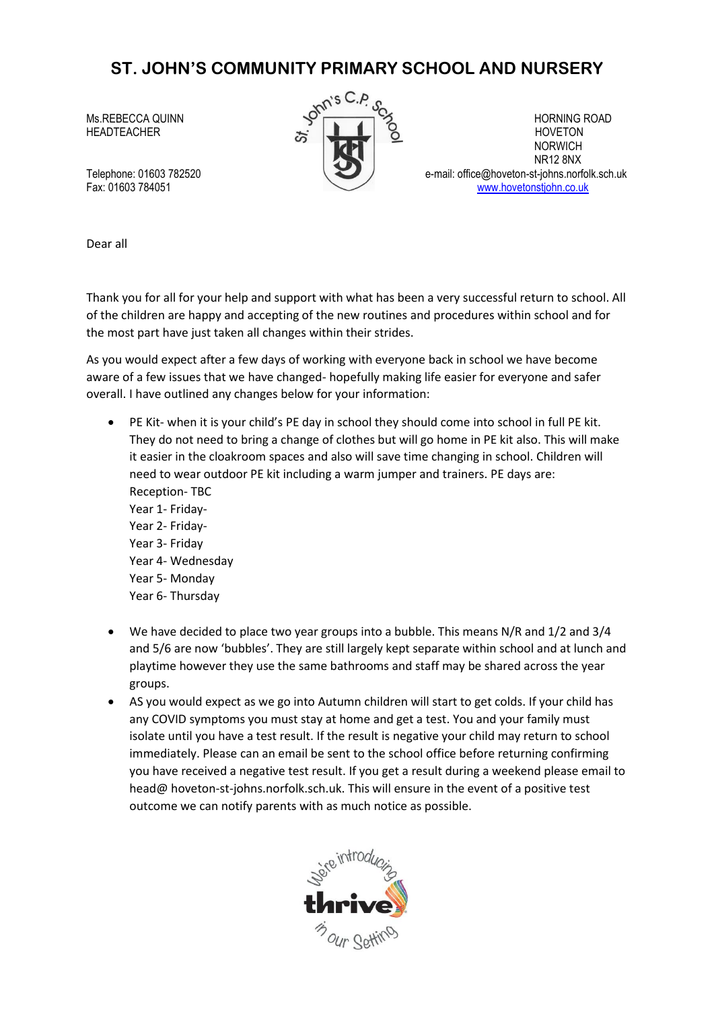## **ST. JOHN'S COMMUNITY PRIMARY SCHOOL AND NURSERY**



Ms.REBECCA QUINN  $\mathcal{S}$   $\rightarrow$   $\mathcal{S}$  horning road HEADTEACHER HOVETON NORWICH NR12 8NX Telephone: 01603 782520 e-mail[: office@hoveton-st-johns.norfolk.sch.uk](mailto:office@hoveton-st-johns.norfolk.sch.uk) Fax: 01603 784051 [www.hovetonstjohn.co.uk](http://www.hovetonstjohn.co.uk/) 

Dear all

Thank you for all for your help and support with what has been a very successful return to school. All of the children are happy and accepting of the new routines and procedures within school and for the most part have just taken all changes within their strides.

As you would expect after a few days of working with everyone back in school we have become aware of a few issues that we have changed- hopefully making life easier for everyone and safer overall. I have outlined any changes below for your information:

- PE Kit- when it is your child's PE day in school they should come into school in full PE kit. They do not need to bring a change of clothes but will go home in PE kit also. This will make it easier in the cloakroom spaces and also will save time changing in school. Children will need to wear outdoor PE kit including a warm jumper and trainers. PE days are: Reception- TBC Year 1- Friday-Year 2- Friday-Year 3- Friday Year 4- Wednesday Year 5- Monday Year 6- Thursday
- We have decided to place two year groups into a bubble. This means N/R and 1/2 and 3/4 and 5/6 are now 'bubbles'. They are still largely kept separate within school and at lunch and playtime however they use the same bathrooms and staff may be shared across the year groups.
- AS you would expect as we go into Autumn children will start to get colds. If your child has any COVID symptoms you must stay at home and get a test. You and your family must isolate until you have a test result. If the result is negative your child may return to school immediately. Please can an email be sent to the school office before returning confirming you have received a negative test result. If you get a result during a weekend please email to head@ hoveton-st-johns.norfolk.sch.uk. This will ensure in the event of a positive test outcome we can notify parents with as much notice as possible.